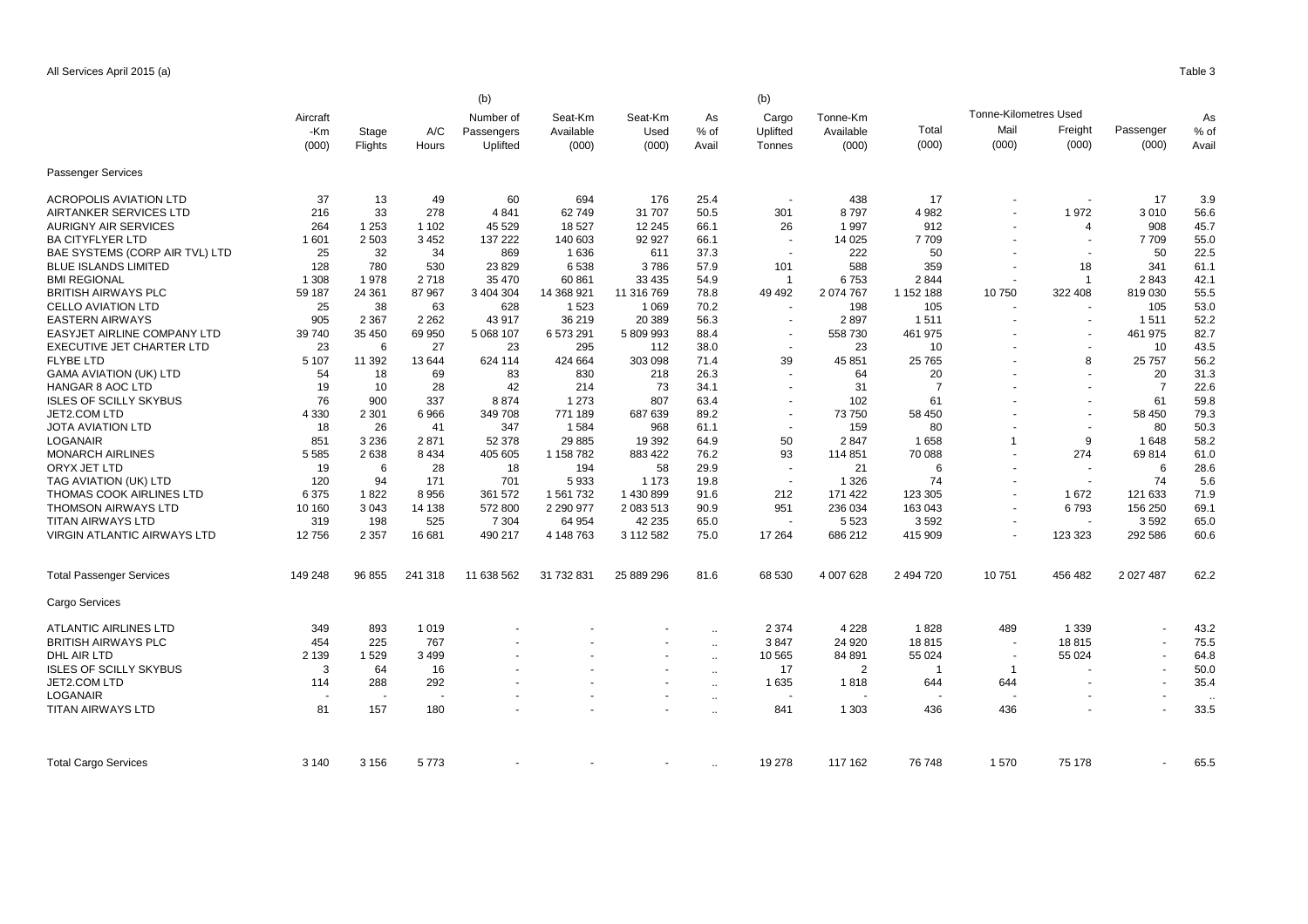|                                    |          |         |         | (b)        |            |            | As        | (b)<br>Cargo             | Tonne-Km       |                |                              |                          |                | As    |
|------------------------------------|----------|---------|---------|------------|------------|------------|-----------|--------------------------|----------------|----------------|------------------------------|--------------------------|----------------|-------|
|                                    | Aircraft |         |         | Number of  | Seat-Km    | Seat-Km    |           |                          |                |                | <b>Tonne-Kilometres Used</b> |                          |                |       |
|                                    | -Km      | Stage   | A/C     | Passengers | Available  | Used       | % of      | Uplifted                 | Available      | Total          | Mail                         | Freight                  | Passenger      | % of  |
|                                    | (000)    | Flights | Hours   | Uplifted   | (000)      | (000)      | Avail     | Tonnes                   | (000)          | (000)          | (000)                        | (000)                    | (000)          | Avail |
|                                    |          |         |         |            |            |            |           |                          |                |                |                              |                          |                |       |
| Passenger Services                 |          |         |         |            |            |            |           |                          |                |                |                              |                          |                |       |
| <b>ACROPOLIS AVIATION LTD</b>      | 37       | 13      | 49      | 60         | 694        | 176        | 25.4      |                          | 438            | 17             |                              | $\blacksquare$           | 17             | 3.9   |
| <b>AIRTANKER SERVICES LTD</b>      | 216      | 33      | 278     | 4841       | 62749      | 31 707     | 50.5      | 301                      | 8797           | 4 9 8 2        |                              | 1972                     | 3010           | 56.6  |
| <b>AURIGNY AIR SERVICES</b>        | 264      | 1 2 5 3 | 1 1 0 2 | 45 529     | 18 5 27    | 12 245     | 66.1      | 26                       | 1997           | 912            |                              | $\overline{4}$           | 908            | 45.7  |
| <b>BA CITYFLYER LTD</b>            | 1601     | 2 5 0 3 | 3 4 5 2 | 137 222    | 140 603    | 92 927     | 66.1      | $\overline{\phantom{a}}$ | 14 0 25        | 7709           |                              | $\overline{\phantom{a}}$ | 7709           | 55.0  |
| BAE SYSTEMS (CORP AIR TVL) LTD     | 25       | 32      | 34      | 869        | 1636       | 611        | 37.3      | $\blacksquare$           | 222            | 50             |                              | $\blacksquare$           | 50             | 22.5  |
| <b>BLUE ISLANDS LIMITED</b>        | 128      | 780     | 530     | 23829      | 6538       | 3786       | 57.9      | 101                      | 588            | 359            |                              | 18                       | 341            | 61.1  |
| <b>BMI REGIONAL</b>                | 1 3 0 8  | 1978    | 2718    | 35 470     | 60 861     | 33 4 35    | 54.9      | $\overline{1}$           | 6753           | 2844           |                              | $\overline{\mathbf{1}}$  | 2843           | 42.1  |
| <b>BRITISH AIRWAYS PLC</b>         | 59 187   | 24 361  | 87 967  | 3 404 304  | 14 368 921 | 11 316 769 | 78.8      | 49 4 9 2                 | 2 074 767      | 1 152 188      | 10750                        | 322 408                  | 819 030        | 55.5  |
| CELLO AVIATION LTD                 | 25       | 38      | 63      | 628        | 1523       | 1 0 6 9    | 70.2      | $\blacksquare$           | 198            | 105            |                              |                          | 105            | 53.0  |
| <b>EASTERN AIRWAYS</b>             | 905      | 2 3 6 7 | 2 2 6 2 | 43 917     | 36 219     | 20 389     | 56.3      | $\blacksquare$           | 2897           | 1511           |                              | $\blacksquare$           | 1511           | 52.2  |
| <b>EASYJET AIRLINE COMPANY LTD</b> | 39 740   | 35 450  | 69 950  | 5 068 107  | 6 573 291  | 5 809 993  | 88.4      |                          | 558 730        | 461 975        |                              | $\sim$                   | 461 975        | 82.7  |
| EXECUTIVE JET CHARTER LTD          | 23       | 6       | 27      | 23         | 295        | 112        | 38.0      | $\blacksquare$           | 23             | 10             |                              | $\blacksquare$           | 10             | 43.5  |
| <b>FLYBE LTD</b>                   | 5 1 0 7  | 11 392  | 13 644  | 624 114    | 424 664    | 303 098    | 71.4      | 39                       | 45 851         | 25 7 65        |                              | 8                        | 25 7 5 7       | 56.2  |
| <b>GAMA AVIATION (UK) LTD</b>      | 54       | 18      | 69      | 83         | 830        | 218        | 26.3      | $\blacksquare$           | 64             | 20             |                              | $\sim$                   | 20             | 31.3  |
| <b>HANGAR 8 AOC LTD</b>            | 19       | 10      | 28      | 42         | 214        | 73         | 34.1      |                          | 31             | $\overline{7}$ |                              | ÷,                       | $\overline{7}$ | 22.6  |
| <b>ISLES OF SCILLY SKYBUS</b>      | 76       | 900     | 337     | 8874       | 1 2 7 3    | 807        | 63.4      |                          | 102            | 61             |                              |                          | 61             | 59.8  |
| JET2.COM LTD                       | 4 3 3 0  | 2 3 0 1 | 6966    | 349 708    | 771 189    | 687 639    | 89.2      | $\blacksquare$           | 73 750         | 58 450         |                              | $\blacksquare$           | 58 450         | 79.3  |
| JOTA AVIATION LTD                  | 18       | 26      | 41      | 347        | 1584       | 968        | 61.1      |                          | 159            | 80             |                              |                          | 80             | 50.3  |
| LOGANAIR                           | 851      | 3 2 3 6 | 2871    | 52 378     | 29 8 85    | 19 3 9 2   | 64.9      | 50                       | 2847           | 1658           | -1                           | 9                        | 1648           | 58.2  |
| <b>MONARCH AIRLINES</b>            | 5585     | 2638    | 8 4 3 4 | 405 605    | 1 158 782  | 883 422    | 76.2      | 93                       | 114 851        | 70 088         |                              | 274                      | 69814          | 61.C  |
| ORYX JET LTD                       | 19       | 6       | 28      | 18         | 194        | 58         | 29.9      | $\blacksquare$           | 21             | 6              |                              | $\blacksquare$           | 6              | 28.6  |
| TAG AVIATION (UK) LTD              | 120      | 94      | 171     | 701        | 5933       | 1 1 7 3    | 19.8      | $\ddot{\phantom{1}}$     | 1 3 2 6        | 74             |                              | $\sim$                   | 74             | 5.6   |
| THOMAS COOK AIRLINES LTD           | 6375     | 1822    | 8956    | 361 572    | 1 561 732  | 1 430 899  | 91.6      | 212                      | 171 422        | 123 305        |                              | 1672                     | 121 633        | 71.9  |
|                                    |          |         |         |            |            |            |           |                          |                |                |                              |                          |                | 69.1  |
| <b>THOMSON AIRWAYS LTD</b>         | 10 160   | 3 0 4 3 | 14 138  | 572 800    | 2 290 977  | 2 083 513  | 90.9      | 951                      | 236 034        | 163 043        |                              | 6793                     | 156 250        |       |
| TITAN AIRWAYS LTD                  | 319      | 198     | 525     | 7 3 0 4    | 64 954     | 42 235     | 65.0      | $\ddot{\phantom{1}}$     | 5 5 2 3        | 3592           | $\overline{\phantom{a}}$     | $\overline{a}$           | 3592           | 65.0  |
| VIRGIN ATLANTIC AIRWAYS LTD        | 12756    | 2 3 5 7 | 16 681  | 490 217    | 4 148 763  | 3 112 582  | 75.0      | 17 264                   | 686 212        | 415 909        |                              | 123 323                  | 292 586        | 60.6  |
| <b>Total Passenger Services</b>    | 149 248  | 96 855  | 241 318 | 11 638 562 | 31 732 831 | 25 889 296 | 81.6      | 68 530                   | 4 007 628      | 2 494 720      | 10751                        | 456 482                  | 2 0 2 7 4 8 7  | 62.2  |
| Cargo Services                     |          |         |         |            |            |            |           |                          |                |                |                              |                          |                |       |
| ATLANTIC AIRLINES LTD              | 349      | 893     | 1019    |            |            |            | $\ddotsc$ | 2 3 7 4                  | 4 2 2 8        | 1828           | 489                          | 1 3 3 9                  |                | 43.2  |
| <b>BRITISH AIRWAYS PLC</b>         | 454      | 225     | 767     |            |            |            | $\ddotsc$ | 3847                     | 24 9 20        | 18815          |                              | 18815                    |                | 75.5  |
| DHL AIR LTD                        | 2 1 3 9  | 1529    | 3499    |            |            |            | $\ddotsc$ | 10 565                   | 84 891         | 55 0 24        | $\overline{\phantom{a}}$     | 55 024                   |                | 64.8  |
| <b>ISLES OF SCILLY SKYBUS</b>      | 3        | 64      | 16      |            |            |            | $\ddotsc$ | 17                       | $\overline{2}$ |                | $\overline{1}$               |                          |                | 50.0  |
| <b>JET2.COM LTD</b>                | 114      | 288     | 292     |            |            |            | $\ddotsc$ | 1 6 3 5                  | 1818           | 644            | 644                          |                          |                | 35.4  |
| LOGANAIR                           |          |         |         |            |            |            | $\ddotsc$ |                          |                |                |                              |                          |                |       |
| TITAN AIRWAYS LTD                  | 81       | 157     | 180     |            |            |            | $\sim$    | 841                      | 1 3 0 3        | 436            | 436                          |                          |                | 33.5  |
|                                    |          |         |         |            |            |            |           |                          |                |                |                              |                          |                |       |
| <b>Total Cargo Services</b>        | 3 1 4 0  | 3 1 5 6 | 5773    |            |            |            | $\ddotsc$ | 19 278                   | 117 162        | 76 748         | 1570                         | 75 178                   |                | 65.5  |